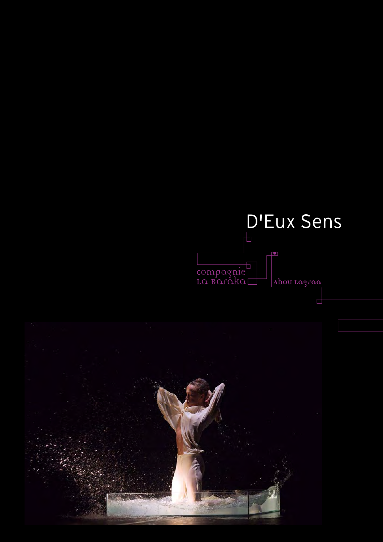### D'Eux SensL Compagnie<br>La Baraka□ Abou Lagraa

Ē

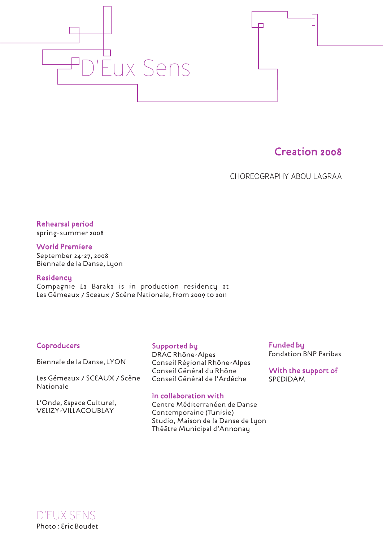



CHOREOGRAPHY ABOU LAGRAA

 $\Box$ 

Rehearsal period

spring-summer 2008

World Premiere September 24-27, 2008 Biennale de la Danse, Lyon

#### **Residency**

Compagnie La Baraka is in production residency at Les Gémeaux / Sceaux / Scène Nationale, from 2009 to 2011

#### Coproducers

Biennale de la Danse, LYON

Les Gémeaux / SCEAUX / Scène Nationale

L'Onde, Espace Culturel, VELIZY-VILLACOUBLAY

Supported by

DRAC Rhône-Alpes Conseil Régional Rhône-Alpes Conseil Général du Rhône Conseil Général de l'Ardèche

#### In collaboration with

Centre Méditerranéen de Danse Contemporaine (Tunisie) Studio, Maison de la Danse de Lyon Théâtre Municipal d'Annonay

Funded by Fondation BNP Paribas

With the support of SPEDIDAM

D'EUX SENS Photo : Eric Boudet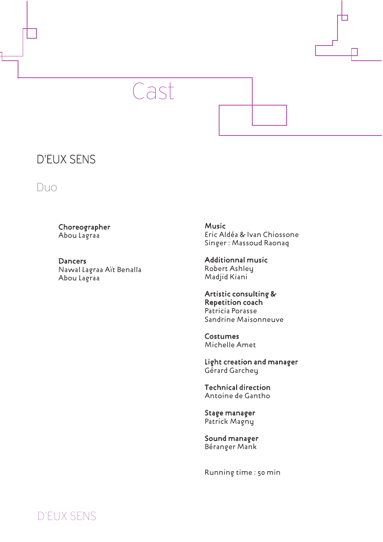



#### D'EUX SENS

Duo

Choreographer Abou Lagraa

**Dancers** Nawal Lagraa Aït Benalla Abou Lagraa

Music Eric Aldéa & Ivan Chiossone Singer : Massoud Raonaq

Additionnal music Robert Ashley Madjid Kiani

#### Artistic consulting & Repetition coach Patricia Porasse Sandrine Maisonneuve

Costumes Michelle Amet

Light creation and manager Gérard Garchey

Technical direction Antoine de Gantho

Stage manager Patrick Magny

Sound manager Béranger Mank

Running time : 50 min

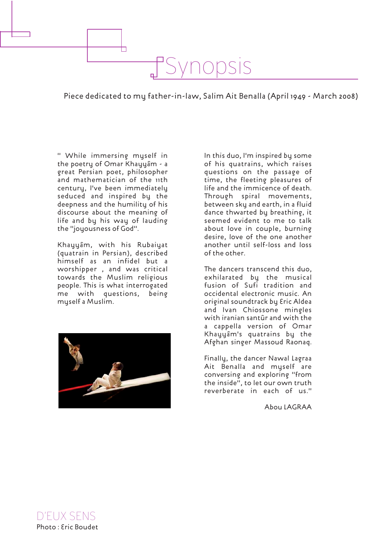Piece dedicated to my father-in-law, Salim Ait Benalla (April 1949 - March 2008)

Synopsis

" While immersing myself in the poetry of Omar Khayyâm - a great Persian poet, philosopher and mathematician of the 11th century, I've been immediately seduced and inspired by the deepness and the humility of his discourse about the meaning of life and by his way of lauding the "joyousness of God".

⊢

Khayyâm, with his Rubaiyat (quatrain in Persian), described himself as an infidel but a worshipper , and was critical towards the Muslim religious people. This is what interrogated me with questions, being myself a Muslim.



In this duo, I'm inspired by some of his quatrains, which raises questions on the passage of time, the fleeting pleasures of life and the immicence of death. Through spiral movements, between sky and earth, in a fluid dance thwarted by breathing, it seemed evident to me to talk about love in couple, burning desire, love of the one another another until self-loss and loss of the other.

The dancers transcend this duo, exhilarated by the musical fusion of Sufi tradition and occidental electronic music. An original soundtrack by Eric Aldea and Ivan Chiossone mingles with iranian santûr and with the a cappella version of Omar Khayyâm's quatrains by the Afghan singer Massoud Raonaq.

Finally, the dancer Nawal Lagraa Ait Benalla and myself are conversing and exploring "from the inside", to let our own truth reverberate in each of us."

Abou LAGRAA

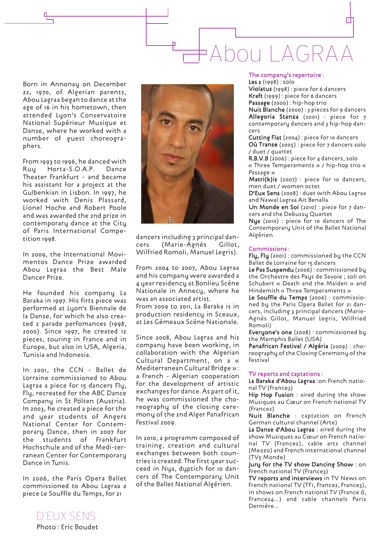## □ Abou LAGRAA

Born in Annonay on December 22, 1970, of Algerian parents, Abou Lagraa began to dance at the age of 16 in his hometown, then attended Lyon's Conservatoire National Supérieur Musique et Danse, where he worked with a number of guest choreographers.

From 1993 to 1996, he danced with Ruy Horta-S.O.A.P. Dance Theater Frankfurt - and became his assistant for a project at the Gulbenkian in Lisbon. In 1997, he worked with Denis Plassard, Lionel Hoche and Robert Poole and was awarded the 2nd prize in contemporary dance at the City of Paris International Competition 1998.

In 2009, the International Movimentos Dance Prize awarded Abou Lagraa the Best Male Dancer Prize.

He founded his company La Baraka in 1997. His firts piece was performed at Lyon's Biennale de la Danse, for which he also created 2 parade perfomances (1998, 2000). Since 1997, he created 12 pieces, touring in France and in Europe, but also in USA, Algeria, Tunisia and Indonesia.

In 2001, the CCN - Ballet de Lorraine commissioned to Abou Lagraa a piece for 15 dancers Fly, Fly, recreated for the ABC Dance Company in St Pölten (Austria). In 2003, he created a piece for the 2nd year students of Angers National Center for Contemporary Dance, then in 2007 for the students of Frankfurt Hochschule and of the Medi-terranean Center for Contemporary Dance in Tunis.

In 2006, the Paris Opera Ballet commissioned to Abou Lagraa a piece Le Souffle du Temps, for 21



dancers including 3 principal dancers (Marie-Agnès Gillot, Wilfried Romoli, Manuel Legris).

From 2004 to 2007, Abou Lagraa and his company were awarded a 4 year residency at Bonlieu Scène Nationale in Annecy, where he was an associated artist. From 2009 to 2011, La Baraka is in production residencu in Sceaux, at Les Gémeaux Scène Nationale.

Since 2008, Abou Lagraa and his company have been working, in collaboration with the Algerian Cultural Department, on a « Mediterranean Cultural Bridge » : a French - Algerian cooperation for the development of artistic exchanges for dance. As part of it, he was commissioned the choreography of the closing ceremony of the 2nd Alger Panafrican Festival 2009.

In 2010, a programm composed of training, creation and cultural exchanges between both countries is created. The first year succeed in Nya, dyptich for 10 dancers of The Contemporary Unit of the Ballet National Algérien.

#### The company's repertoire :

Les 2 (1998) : solo Violatus (1998) : piece for 6 dancers Kraft (1999) : piece for 6 dancers Passage (2000) : hip-hop trio

Nuit Blanche (2000) : 3 pieces for 9 dancers Allegoria Stanza (2001) : piece for 7 contemporary dancers and 3 hip-hop dancers

Cutting Flat (2004) : piece for 10 dancers Où Transe (2005) : piece for 7 dancers solo / duet / quartet

R.B.V.B (2006) : piece for 4 dancers, solo « Three Temperaments » / hip-hop trio « Passage »

Matri(k)is (2007) : piece for 10 dancers, men duet / women octet

D'Eux Sens (2008) : duet with Abou Lagraa and Nawal Lagraa Ait Benalla

Un Monde en Soi (2010) : piece for 7 dancers and the Debussy Quartet

Nya (2010) : piece for 10 dancers of The Contemporary Unit of the Ballet National Algérien

#### Commissions :

Fly, Fly (2001) : commissioned by the CCN Ballet de Lorraine for 15 dancers

Le Pas Suspendu (2006) : commissioned by the Orchestre des Pays de Savoie ; soli on Schubert « Death and the Maiden » and Hindemith « Three Temperaments »

Le Souffle du Temps (2006) : commissioned by the Paris Opera Ballet for 21 dancers, including 3 principal dancers (Marie-Agnès Gillot, Manuel Legris, Wilfried Romoli)

Everyone's one (2008) : commissioned by the Memphis Ballet (USA)

Panafrican Festival / Algéria (2009) : choreography of the Closing Ceremony of the Festival

#### TV reports and captations :

La Baraka d'Abou Lagraa :on French national TV (France3)

Hip Hop Fusion : aired during the show Musiques au Cœur on French national TV (France2)

Nuit Blanche : captation on French German cultural channel (Arte)

La Danse d'Abou Lagraa : aired during the show Musiques au Cœur on French national TV (France2), cable arts channel (Mezzo) and French international channel (TV5 Monde)

Jury for the TV show Dancing Show : on French national TV (France3)

TV reports and interviews in TV News on French national TV (TF1, France2, France3), in shows on French national TV (France ô, France24…) and cable channels Paris Dernière…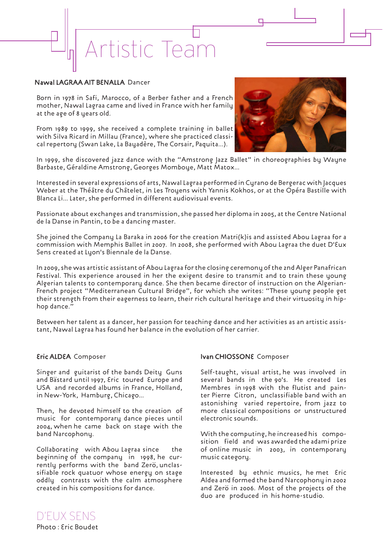# Artistic Team

#### Nawal LAGRAA AIT BENALLA Dancer

Born in 1978 in Safi, Marocco, of a Berber father and a French mother, Nawal Lagraa came and lived in France with her family at the age of 8 years old.

From 1989 to 1999, she received a complete training in ballet with Silva Ricard in Millau (France), where she practiced classical repertory (Swan Lake, La Bayadère, The Corsair, Paquita...).



г

In 1999, she discovered jazz dance with the "Amstrong Jazz Ballet" in choreographies by Wayne Barbaste, Géraldine Amstrong, Georges Momboye, Matt Matox...

Interested in several expressions of arts, Nawal Lagraa performed in Cyrano de Bergerac with Jacques Weber at the Théâtre du Châtelet, in Les Troyens with Yannis Kokhos, or at the Opéra Bastille with Blanca Li... Later, she performed in different audiovisual events.

Passionate about exchanges and transmission, she passed her diploma in 2005, at the Centre National de la Danse in Pantin, to be a dancing master.

She joined the Company La Baraka in 2006 for the creation Matri(k)is and assisted Abou Lagraa for a commission with Memphis Ballet in 2007. In 2008, she performed with Abou Lagraa the duet D'Eux Sens created at Lyon's Biennale de la Danse.

In 2009, she was artistic assistant of Abou Lagraa for the closing ceremony of the 2nd Alger Panafrican Festival. This experience aroused in her the exigent desire to transmit and to train these young Algerian talents to contemporary dance. She then became director of instruction on the Algerian-French project "Mediterranean Cultural Bridge", for which she writes: "These young people get their strength from their eagerness to learn, their rich cultural heritage and their virtuosity in hiphop dance."

Between her talent as a dancer, her passion for teaching dance and her activities as an artistic assistant, Nawal Lagraa has found her balance in the evolution of her carrier.

#### Eric ALDEA Composer

Singer and guitarist of the bands Deity Guns and Bästard until 1997, Eric toured Europe and USA and recorded albums in France, Holland, in New-York, Hamburg, Chicago...

Then, he devoted himself to the creation of music for contemporary dance pieces until 2004, when he came back on stage with the band Narcophony.

Collaborating with Abou Lagraa since the beginning of the company in 1998, he currently performs with the band Zerö, unclassifiable rock quatuor whose energy on stage oddly contrasts with the calm atmosphere created in his compositions for dance.

#### Ivan CHIOSSONE Composer

Self-taught, visual artist, he was involved in several bands in the 90's. He created Les Membres in 1998 with the flutist and painter Pierre Citron, unclassifiable band with an astonishing varied repertoire, from jazz to more classical compositions or unstructured electronic sounds.

With the computing, he increased his composition field and was awarded the adami prize of online music in 2003, in contemporary music category.

Interested by ethnic musics, he met Eric Aldea and formed the band Narcophony in 2002 and Zerö in 2006. Most of the projects of the duo are produced in his home-studio.

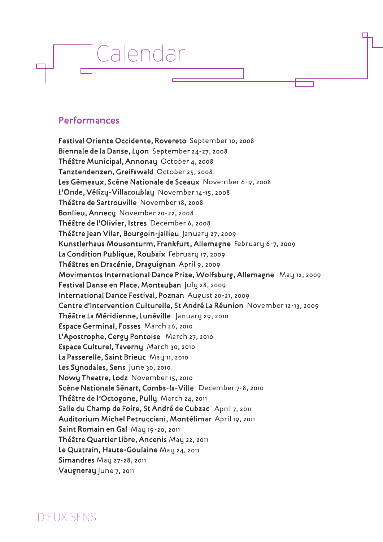#### Performances

Calendar

Festival Oriente Occidente, Rovereto September 10, 2008 Biennale de la Danse, Lyon September 24-27, 2008 Théâtre Municipal, Annonay October 4, 2008 Tanztendenzen, Greifswald October 25, 2008 Les Gémeaux, Scène Nationale de Sceaux November 6-9, 2008 L'Onde, Vélizy-Villacoublay November 14-15, 2008 Théâtre de Sartrouville November 18, 2008 Bonlieu, Annecy November 20-22, 2008 Théâtre de l'Olivier, Istres December 6, 2008 Théâtre Jean Vilar, Bourgoin-jallieu January 27, 2009 Kunstlerhaus Mousonturm, Frankfurt, Allemagne February 6-7, 2009 La Condition Publique, Roubaix February 17, 2009 Théâtres en Dracénie, Draguignan April 9, 2009 Movimentos International Dance Prize, Wolfsburg, Allemagne May 12, 2009 Festival Danse en Place, Montauban July 28, 2009 International Dance Festival, Poznan August 20-21, 2009 Centre d'Intervention Culturelle, St André La Réunion November 12-13, 2009 Théâtre La Méridienne, Lunéville January 29, 2010 Espace Germinal, Fosses March 26, 2010 L'Apostrophe, Cergy Pontoise March 27, 2010 Espace Culturel, Taverny March 30, 2010 La Passerelle, Saint Brieuc May 11, 2010 Les Synodales, Sens June 30, 2010 Nowy Theatre, Lodz November 15, 2010 Scène Nationale Sénart, Combs-la-Ville December 7-8, 2010 Théâtre de l'Octogone, Pully March 24, 2011 Salle du Champ de Foire, St André de Cubzac April 7, 2011 Auditorium Michel Petrucciani, Montélimar April 19, 2011 Saint Romain en Gal May 19-20, 2011 Théâtre Quartier Libre, Ancenis May 22, 2011 Le Quatrain, Haute-Goulaine May 24, 2011 Simandres May 27-28, 2011 Vaugneray June 7, 2011

D'EUX SENS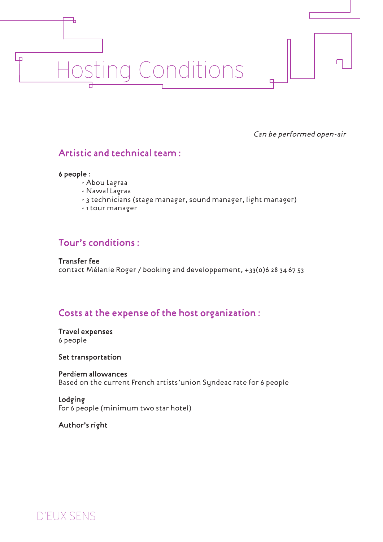# Hosting Conditions

Can be performed open-air

#### Artistic and technical team :

#### 6 people :

Ъ

 $\Box$ 

- Abou Lagraa
- Nawal Lagraa
- 3 technicians (stage manager, sound manager, light manager)
- 1 tour manager

#### Tour's conditions :

Transfer fee contact Mélanie Roger / booking and developpement, +33(0)6 28 34 67 53

#### Costs at the expense of the host organization :

Travel expenses 6 people

Set transportation

Perdiem allowances Based on the current French artists'union Syndeac rate for 6 people

#### Lodging

For 6 people (minimum two star hotel)

Author's right